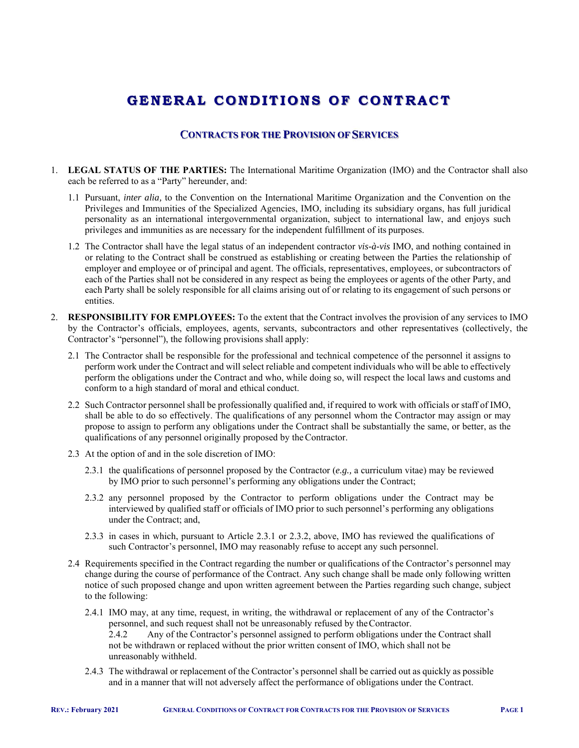# **GENERAL C O NDI T I O NS O F C O NTRACT**

## **CONTRACTS FOR THE PROVISION OF SERVICES**

- 1. **LEGAL STATUS OF THE PARTIES:** The International Maritime Organization (IMO) and the Contractor shall also each be referred to as a "Party" hereunder, and:
	- 1.1 Pursuant, *inter alia,* to the Convention on the International Maritime Organization and the Convention on the Privileges and Immunities of the Specialized Agencies, IMO, including its subsidiary organs, has full juridical personality as an international intergovernmental organization, subject to international law, and enjoys such privileges and immunities as are necessary for the independent fulfillment of its purposes.
	- 1.2 The Contractor shall have the legal status of an independent contractor *vis-à-vis* IMO, and nothing contained in or relating to the Contract shall be construed as establishing or creating between the Parties the relationship of employer and employee or of principal and agent. The officials, representatives, employees, or subcontractors of each of the Parties shall not be considered in any respect as being the employees or agents of the other Party, and each Party shall be solely responsible for all claims arising out of or relating to its engagement of such persons or entities.
- 2. **RESPONSIBILITY FOR EMPLOYEES:** To the extent that the Contract involves the provision of any services to IMO by the Contractor's officials, employees, agents, servants, subcontractors and other representatives (collectively, the Contractor's "personnel"), the following provisions shall apply:
	- 2.1 The Contractor shall be responsible for the professional and technical competence of the personnel it assigns to perform work under the Contract and will select reliable and competent individuals who will be able to effectively perform the obligations under the Contract and who, while doing so, will respect the local laws and customs and conform to a high standard of moral and ethical conduct.
	- 2.2 Such Contractor personnel shall be professionally qualified and, if required to work with officials or staff of IMO, shall be able to do so effectively. The qualifications of any personnel whom the Contractor may assign or may propose to assign to perform any obligations under the Contract shall be substantially the same, or better, as the qualifications of any personnel originally proposed by the Contractor.
	- 2.3 At the option of and in the sole discretion of IMO:
		- 2.3.1 the qualifications of personnel proposed by the Contractor (*e.g.,* a curriculum vitae) may be reviewed by IMO prior to such personnel's performing any obligations under the Contract;
		- 2.3.2 any personnel proposed by the Contractor to perform obligations under the Contract may be interviewed by qualified staff or officials of IMO prior to such personnel's performing any obligations under the Contract; and,
		- 2.3.3 in cases in which, pursuant to Article 2.3.1 or 2.3.2, above, IMO has reviewed the qualifications of such Contractor's personnel, IMO may reasonably refuse to accept any such personnel.
	- 2.4 Requirements specified in the Contract regarding the number or qualifications of the Contractor's personnel may change during the course of performance of the Contract. Any such change shall be made only following written notice of such proposed change and upon written agreement between the Parties regarding such change, subject to the following:
		- 2.4.1 IMO may, at any time, request, in writing, the withdrawal or replacement of any of the Contractor's personnel, and such request shall not be unreasonably refused by the Contractor. 2.4.2 Any of the Contractor's personnel assigned to perform obligations under the Contract shall not be withdrawn or replaced without the prior written consent of IMO, which shall not be unreasonably withheld.
		- 2.4.3 The withdrawal or replacement of the Contractor's personnel shall be carried out as quickly as possible and in a manner that will not adversely affect the performance of obligations under the Contract.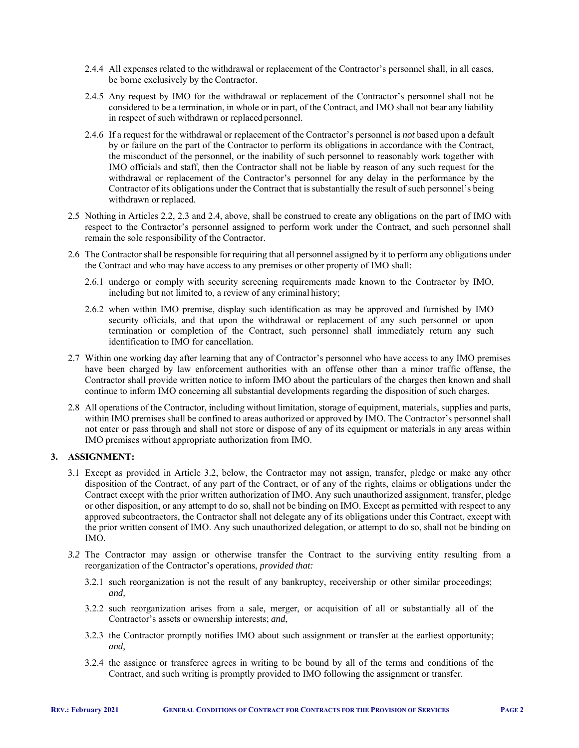- 2.4.4 All expenses related to the withdrawal or replacement of the Contractor's personnel shall, in all cases, be borne exclusively by the Contractor.
- 2.4.5 Any request by IMO for the withdrawal or replacement of the Contractor's personnel shall not be considered to be a termination, in whole or in part, of the Contract, and IMO shall not bear any liability in respect of such withdrawn or replaced personnel.
- 2.4.6 If a request for the withdrawal or replacement of the Contractor's personnel is *not* based upon a default by or failure on the part of the Contractor to perform its obligations in accordance with the Contract, the misconduct of the personnel, or the inability of such personnel to reasonably work together with IMO officials and staff, then the Contractor shall not be liable by reason of any such request for the withdrawal or replacement of the Contractor's personnel for any delay in the performance by the Contractor of its obligations under the Contract that is substantially the result of such personnel's being withdrawn or replaced.
- 2.5 Nothing in Articles 2.2, 2.3 and 2.4, above, shall be construed to create any obligations on the part of IMO with respect to the Contractor's personnel assigned to perform work under the Contract, and such personnel shall remain the sole responsibility of the Contractor.
- 2.6 The Contractor shall be responsible for requiring that all personnel assigned by it to perform any obligations under the Contract and who may have access to any premises or other property of IMO shall:
	- 2.6.1 undergo or comply with security screening requirements made known to the Contractor by IMO, including but not limited to, a review of any criminal history;
	- 2.6.2 when within IMO premise, display such identification as may be approved and furnished by IMO security officials, and that upon the withdrawal or replacement of any such personnel or upon termination or completion of the Contract, such personnel shall immediately return any such identification to IMO for cancellation.
- 2.7 Within one working day after learning that any of Contractor's personnel who have access to any IMO premises have been charged by law enforcement authorities with an offense other than a minor traffic offense, the Contractor shall provide written notice to inform IMO about the particulars of the charges then known and shall continue to inform IMO concerning all substantial developments regarding the disposition of such charges.
- 2.8 All operations of the Contractor, including without limitation, storage of equipment, materials, supplies and parts, within IMO premises shall be confined to areas authorized or approved by IMO. The Contractor's personnel shall not enter or pass through and shall not store or dispose of any of its equipment or materials in any areas within IMO premises without appropriate authorization from IMO.

## **3. ASSIGNMENT:**

- 3.1 Except as provided in Article 3.2, below, the Contractor may not assign, transfer, pledge or make any other disposition of the Contract, of any part of the Contract, or of any of the rights, claims or obligations under the Contract except with the prior written authorization of IMO. Any such unauthorized assignment, transfer, pledge or other disposition, or any attempt to do so, shall not be binding on IMO. Except as permitted with respect to any approved subcontractors, the Contractor shall not delegate any of its obligations under this Contract, except with the prior written consent of IMO. Any such unauthorized delegation, or attempt to do so, shall not be binding on IMO.
- *3.2* The Contractor may assign or otherwise transfer the Contract to the surviving entity resulting from a reorganization of the Contractor's operations, *provided that:* 
	- 3.2.1 such reorganization is not the result of any bankruptcy, receivership or other similar proceedings; *and,*
	- 3.2.2 such reorganization arises from a sale, merger, or acquisition of all or substantially all of the Contractor's assets or ownership interests; *and*,
	- 3.2.3 the Contractor promptly notifies IMO about such assignment or transfer at the earliest opportunity; *and*,
	- 3.2.4 the assignee or transferee agrees in writing to be bound by all of the terms and conditions of the Contract, and such writing is promptly provided to IMO following the assignment or transfer.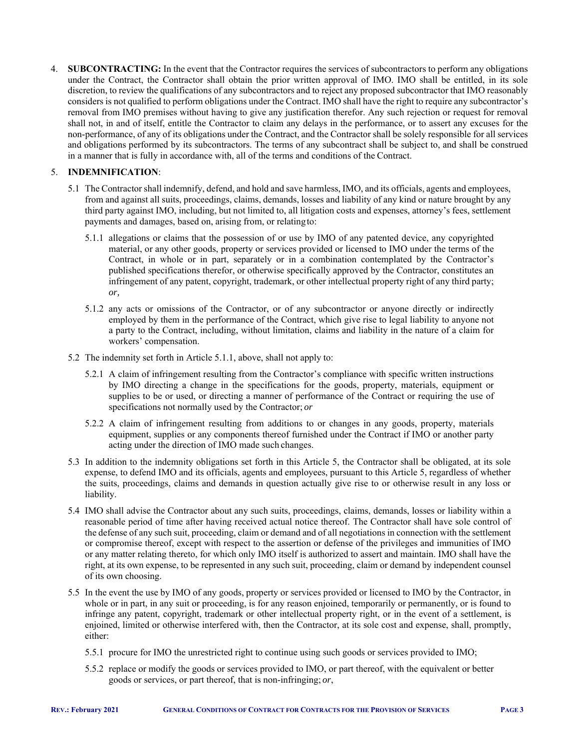4. **SUBCONTRACTING:** In the event that the Contractor requires the services of subcontractors to perform any obligations under the Contract, the Contractor shall obtain the prior written approval of IMO. IMO shall be entitled, in its sole discretion, to review the qualifications of any subcontractors and to reject any proposed subcontractor that IMO reasonably considers is not qualified to perform obligations under the Contract. IMO shall have the right to require any subcontractor's removal from IMO premises without having to give any justification therefor. Any such rejection or request for removal shall not, in and of itself, entitle the Contractor to claim any delays in the performance, or to assert any excuses for the non-performance, of any of its obligations under the Contract, and the Contractor shall be solely responsible for all services and obligations performed by its subcontractors. The terms of any subcontract shall be subject to, and shall be construed in a manner that is fully in accordance with, all of the terms and conditions of the Contract.

## 5. **INDEMNIFICATION**:

- 5.1 The Contractor shall indemnify, defend, and hold and save harmless, IMO, and its officials, agents and employees, from and against all suits, proceedings, claims, demands, losses and liability of any kind or nature brought by any third party against IMO, including, but not limited to, all litigation costs and expenses, attorney's fees, settlement payments and damages, based on, arising from, or relating to:
	- 5.1.1 allegations or claims that the possession of or use by IMO of any patented device, any copyrighted material, or any other goods, property or services provided or licensed to IMO under the terms of the Contract, in whole or in part, separately or in a combination contemplated by the Contractor's published specifications therefor, or otherwise specifically approved by the Contractor, constitutes an infringement of any patent, copyright, trademark, or other intellectual property right of any third party; *or,*
	- 5.1.2 any acts or omissions of the Contractor, or of any subcontractor or anyone directly or indirectly employed by them in the performance of the Contract, which give rise to legal liability to anyone not a party to the Contract, including, without limitation, claims and liability in the nature of a claim for workers' compensation.
- 5.2 The indemnity set forth in Article 5.1.1, above, shall not apply to:
	- 5.2.1 A claim of infringement resulting from the Contractor's compliance with specific written instructions by IMO directing a change in the specifications for the goods, property, materials, equipment or supplies to be or used, or directing a manner of performance of the Contract or requiring the use of specifications not normally used by the Contractor; *or*
	- 5.2.2 A claim of infringement resulting from additions to or changes in any goods, property, materials equipment, supplies or any components thereof furnished under the Contract if IMO or another party acting under the direction of IMO made such changes.
- 5.3 In addition to the indemnity obligations set forth in this Article 5, the Contractor shall be obligated, at its sole expense, to defend IMO and its officials, agents and employees, pursuant to this Article 5, regardless of whether the suits, proceedings, claims and demands in question actually give rise to or otherwise result in any loss or liability.
- 5.4 IMO shall advise the Contractor about any such suits, proceedings, claims, demands, losses or liability within a reasonable period of time after having received actual notice thereof. The Contractor shall have sole control of the defense of any such suit, proceeding, claim or demand and of all negotiations in connection with the settlement or compromise thereof, except with respect to the assertion or defense of the privileges and immunities of IMO or any matter relating thereto, for which only IMO itself is authorized to assert and maintain. IMO shall have the right, at its own expense, to be represented in any such suit, proceeding, claim or demand by independent counsel of its own choosing.
- 5.5 In the event the use by IMO of any goods, property or services provided or licensed to IMO by the Contractor, in whole or in part, in any suit or proceeding, is for any reason enjoined, temporarily or permanently, or is found to infringe any patent, copyright, trademark or other intellectual property right, or in the event of a settlement, is enjoined, limited or otherwise interfered with, then the Contractor, at its sole cost and expense, shall, promptly, either:
	- 5.5.1 procure for IMO the unrestricted right to continue using such goods or services provided to IMO;
	- 5.5.2 replace or modify the goods or services provided to IMO, or part thereof, with the equivalent or better goods or services, or part thereof, that is non-infringing; *or*,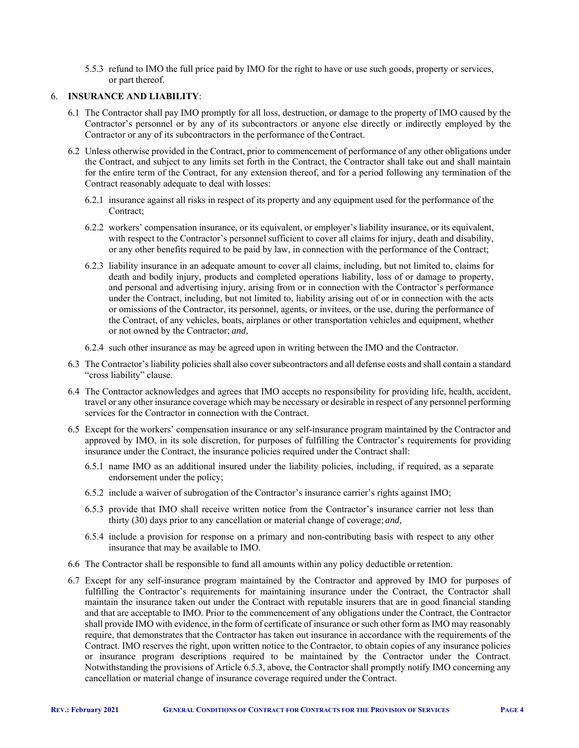5.5.3 refund to IMO the full price paid by IMO for the right to have or use such goods, property or services, or part thereof.

### 6. **INSURANCE AND LIABILITY**:

- 6.1 The Contractor shall pay IMO promptly for all loss, destruction, or damage to the property of IMO caused by the Contractor's personnel or by any of its subcontractors or anyone else directly or indirectly employed by the Contractor or any of its subcontractors in the performance of the Contract.
- 6.2 Unless otherwise provided in the Contract, prior to commencement of performance of any other obligations under the Contract, and subject to any limits set forth in the Contract, the Contractor shall take out and shall maintain for the entire term of the Contract, for any extension thereof, and for a period following any termination of the Contract reasonably adequate to deal with losses:
	- 6.2.1 insurance against all risks in respect of its property and any equipment used for the performance of the Contract;
	- 6.2.2 workers' compensation insurance, or its equivalent, or employer's liability insurance, or its equivalent, with respect to the Contractor's personnel sufficient to cover all claims for injury, death and disability, or any other benefits required to be paid by law, in connection with the performance of the Contract;
	- 6.2.3 liability insurance in an adequate amount to cover all claims, including, but not limited to, claims for death and bodily injury, products and completed operations liability, loss of or damage to property, and personal and advertising injury, arising from or in connection with the Contractor's performance under the Contract, including, but not limited to, liability arising out of or in connection with the acts or omissions of the Contractor, its personnel, agents, or invitees, or the use, during the performance of the Contract, of any vehicles, boats, airplanes or other transportation vehicles and equipment, whether or not owned by the Contractor; *and*,
	- 6.2.4 such other insurance as may be agreed upon in writing between the IMO and the Contractor.
- 6.3 The Contractor's liability policies shall also cover subcontractors and all defense costs and shall contain a standard "cross liability" clause.
- 6.4 The Contractor acknowledges and agrees that IMO accepts no responsibility for providing life, health, accident, travel or any other insurance coverage which may be necessary or desirable in respect of any personnel performing services for the Contractor in connection with the Contract.
- 6.5 Except for the workers' compensation insurance or any self-insurance program maintained by the Contractor and approved by IMO, in its sole discretion, for purposes of fulfilling the Contractor's requirements for providing insurance under the Contract, the insurance policies required under the Contract shall:
	- 6.5.1 name IMO as an additional insured under the liability policies, including, if required, as a separate endorsement under the policy;
	- 6.5.2 include a waiver of subrogation of the Contractor's insurance carrier's rights against IMO;
	- 6.5.3 provide that IMO shall receive written notice from the Contractor's insurance carrier not less than thirty (30) days prior to any cancellation or material change of coverage; *and*,
	- 6.5.4 include a provision for response on a primary and non-contributing basis with respect to any other insurance that may be available to IMO.
- 6.6 The Contractor shall be responsible to fund all amounts within any policy deductible or retention.
- 6.7 Except for any self-insurance program maintained by the Contractor and approved by IMO for purposes of fulfilling the Contractor's requirements for maintaining insurance under the Contract, the Contractor shall maintain the insurance taken out under the Contract with reputable insurers that are in good financial standing and that are acceptable to IMO. Prior to the commencement of any obligations under the Contract, the Contractor shall provide IMO with evidence, in the form of certificate of insurance or such other form as IMO may reasonably require, that demonstrates that the Contractor has taken out insurance in accordance with the requirements of the Contract. IMO reserves the right, upon written notice to the Contractor, to obtain copies of any insurance policies or insurance program descriptions required to be maintained by the Contractor under the Contract. Notwithstanding the provisions of Article 6.5.3, above, the Contractor shall promptly notify IMO concerning any cancellation or material change of insurance coverage required under the Contract.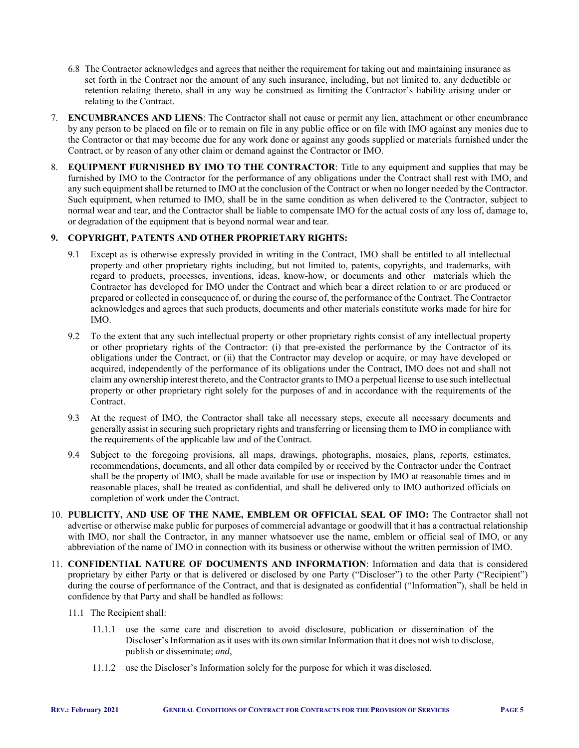- 6.8 The Contractor acknowledges and agrees that neither the requirement for taking out and maintaining insurance as set forth in the Contract nor the amount of any such insurance, including, but not limited to, any deductible or retention relating thereto, shall in any way be construed as limiting the Contractor's liability arising under or relating to the Contract.
- 7. **ENCUMBRANCES AND LIENS**: The Contractor shall not cause or permit any lien, attachment or other encumbrance by any person to be placed on file or to remain on file in any public office or on file with IMO against any monies due to the Contractor or that may become due for any work done or against any goods supplied or materials furnished under the Contract, or by reason of any other claim or demand against the Contractor or IMO.
- 8. **EQUIPMENT FURNISHED BY IMO TO THE CONTRACTOR**: Title to any equipment and supplies that may be furnished by IMO to the Contractor for the performance of any obligations under the Contract shall rest with IMO, and any such equipment shall be returned to IMO at the conclusion of the Contract or when no longer needed by the Contractor. Such equipment, when returned to IMO, shall be in the same condition as when delivered to the Contractor, subject to normal wear and tear, and the Contractor shall be liable to compensate IMO for the actual costs of any loss of, damage to, or degradation of the equipment that is beyond normal wear and tear.

## **9. COPYRIGHT, PATENTS AND OTHER PROPRIETARY RIGHTS:**

- 9.1 Except as is otherwise expressly provided in writing in the Contract, IMO shall be entitled to all intellectual property and other proprietary rights including, but not limited to, patents, copyrights, and trademarks, with regard to products, processes, inventions, ideas, know-how, or documents and other materials which the Contractor has developed for IMO under the Contract and which bear a direct relation to or are produced or prepared or collected in consequence of, or during the course of, the performance of the Contract. The Contractor acknowledges and agrees that such products, documents and other materials constitute works made for hire for IMO.
- 9.2 To the extent that any such intellectual property or other proprietary rights consist of any intellectual property or other proprietary rights of the Contractor: (i) that pre-existed the performance by the Contractor of its obligations under the Contract, or (ii) that the Contractor may develop or acquire, or may have developed or acquired, independently of the performance of its obligations under the Contract, IMO does not and shall not claim any ownership interest thereto, and the Contractor grants to IMO a perpetual license to use such intellectual property or other proprietary right solely for the purposes of and in accordance with the requirements of the Contract.
- 9.3 At the request of IMO, the Contractor shall take all necessary steps, execute all necessary documents and generally assist in securing such proprietary rights and transferring or licensing them to IMO in compliance with the requirements of the applicable law and of the Contract.
- 9.4 Subject to the foregoing provisions, all maps, drawings, photographs, mosaics, plans, reports, estimates, recommendations, documents, and all other data compiled by or received by the Contractor under the Contract shall be the property of IMO, shall be made available for use or inspection by IMO at reasonable times and in reasonable places, shall be treated as confidential, and shall be delivered only to IMO authorized officials on completion of work under the Contract.
- 10. **PUBLICITY, AND USE OF THE NAME, EMBLEM OR OFFICIAL SEAL OF IMO:** The Contractor shall not advertise or otherwise make public for purposes of commercial advantage or goodwill that it has a contractual relationship with IMO, nor shall the Contractor, in any manner whatsoever use the name, emblem or official seal of IMO, or any abbreviation of the name of IMO in connection with its business or otherwise without the written permission of IMO.
- 11. **CONFIDENTIAL NATURE OF DOCUMENTS AND INFORMATION**: Information and data that is considered proprietary by either Party or that is delivered or disclosed by one Party ("Discloser") to the other Party ("Recipient") during the course of performance of the Contract, and that is designated as confidential ("Information"), shall be held in confidence by that Party and shall be handled as follows:
	- 11.1 The Recipient shall:
		- 11.1.1 use the same care and discretion to avoid disclosure, publication or dissemination of the Discloser's Information as it uses with its own similar Information that it does not wish to disclose, publish or disseminate; *and*,
		- 11.1.2 use the Discloser's Information solely for the purpose for which it was disclosed.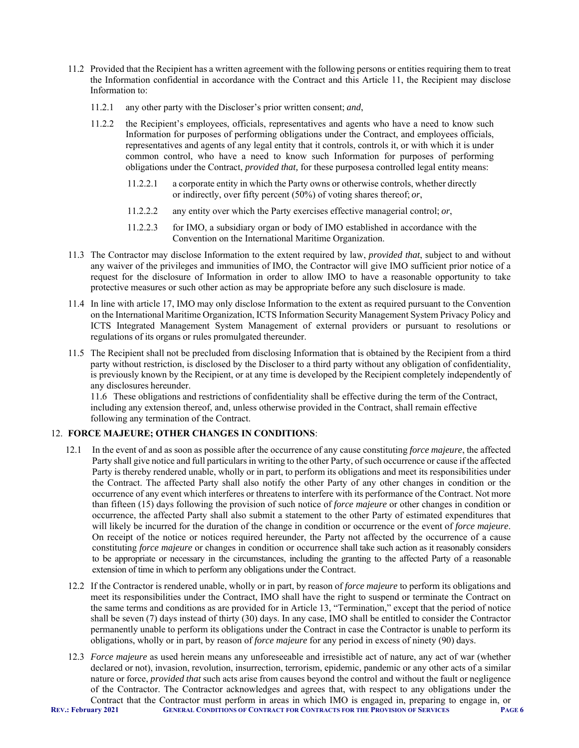- 11.2 Provided that the Recipient has a written agreement with the following persons or entities requiring them to treat the Information confidential in accordance with the Contract and this Article 11, the Recipient may disclose Information to:
	- 11.2.1 any other party with the Discloser's prior written consent; *and*,
	- 11.2.2 the Recipient's employees, officials, representatives and agents who have a need to know such Information for purposes of performing obligations under the Contract, and employees officials, representatives and agents of any legal entity that it controls, controls it, or with which it is under common control, who have a need to know such Information for purposes of performing obligations under the Contract, *provided that,* for these purposes a controlled legal entity means:
		- 11.2.2.1 a corporate entity in which the Party owns or otherwise controls, whether directly or indirectly, over fifty percent (50%) of voting shares thereof; *or*,
		- 11.2.2.2 any entity over which the Party exercises effective managerial control; *or*,
		- 11.2.2.3 for IMO, a subsidiary organ or body of IMO established in accordance with the Convention on the International Maritime Organization.
- 11.3 The Contractor may disclose Information to the extent required by law, *provided that*, subject to and without any waiver of the privileges and immunities of IMO, the Contractor will give IMO sufficient prior notice of a request for the disclosure of Information in order to allow IMO to have a reasonable opportunity to take protective measures or such other action as may be appropriate before any such disclosure is made.
- 11.4 In line with article 17, IMO may only disclose Information to the extent as required pursuant to the Convention on the International Maritime Organization, ICTS Information Security Management System Privacy Policy and ICTS Integrated Management System Management of external providers or pursuant to resolutions or regulations of its organs or rules promulgated thereunder.
- 11.5 The Recipient shall not be precluded from disclosing Information that is obtained by the Recipient from a third party without restriction, is disclosed by the Discloser to a third party without any obligation of confidentiality, is previously known by the Recipient, or at any time is developed by the Recipient completely independently of any disclosures hereunder.

11.6 These obligations and restrictions of confidentiality shall be effective during the term of the Contract, including any extension thereof, and, unless otherwise provided in the Contract, shall remain effective following any termination of the Contract.

## 12. **FORCE MAJEURE; OTHER CHANGES IN CONDITIONS**:

- 12.1 In the event of and as soon as possible after the occurrence of any cause constituting *force majeure*, the affected Party shall give notice and full particulars in writing to the other Party, of such occurrence or cause if the affected Party is thereby rendered unable, wholly or in part, to perform its obligations and meet its responsibilities under the Contract. The affected Party shall also notify the other Party of any other changes in condition or the occurrence of any event which interferes or threatens to interfere with its performance of the Contract. Not more than fifteen (15) days following the provision of such notice of *force majeure* or other changes in condition or occurrence, the affected Party shall also submit a statement to the other Party of estimated expenditures that will likely be incurred for the duration of the change in condition or occurrence or the event of *force majeure*. On receipt of the notice or notices required hereunder, the Party not affected by the occurrence of a cause constituting *force majeure* or changes in condition or occurrence shall take such action as it reasonably considers to be appropriate or necessary in the circumstances, including the granting to the affected Party of a reasonable extension of time in which to perform any obligations under the Contract.
- 12.2 If the Contractor is rendered unable, wholly or in part, by reason of *force majeure* to perform its obligations and meet its responsibilities under the Contract, IMO shall have the right to suspend or terminate the Contract on the same terms and conditions as are provided for in Article 13, "Termination," except that the period of notice shall be seven (7) days instead of thirty (30) days. In any case, IMO shall be entitled to consider the Contractor permanently unable to perform its obligations under the Contract in case the Contractor is unable to perform its obligations, wholly or in part, by reason of *force majeure* for any period in excess of ninety (90) days.
- **REV.: February 2021 GENERAL CONDITIONS OF CONTRACT FOR CONTRACTS FOR THE PROVISION OF SERVICES PAGE 6** 12.3 *Force majeure* as used herein means any unforeseeable and irresistible act of nature, any act of war (whether declared or not), invasion, revolution, insurrection, terrorism, epidemic, pandemic or any other acts of a similar nature or force, *provided that* such acts arise from causes beyond the control and without the fault or negligence of the Contractor. The Contractor acknowledges and agrees that, with respect to any obligations under the Contract that the Contractor must perform in areas in which IMO is engaged in, preparing to engage in, or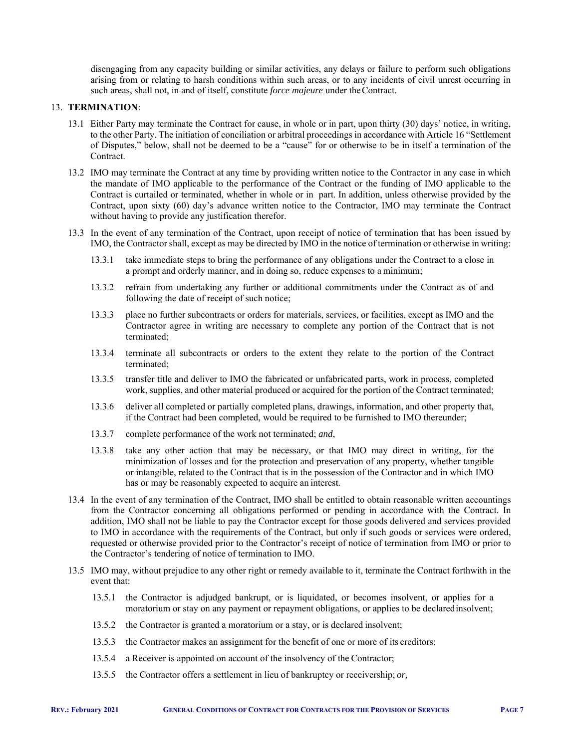disengaging from any capacity building or similar activities, any delays or failure to perform such obligations arising from or relating to harsh conditions within such areas, or to any incidents of civil unrest occurring in such areas, shall not, in and of itself, constitute *force majeure* under the Contract.

#### 13. **TERMINATION**:

- 13.1 Either Party may terminate the Contract for cause, in whole or in part, upon thirty (30) days' notice, in writing, to the other Party. The initiation of conciliation or arbitral proceedings in accordance with Article 16 "Settlement of Disputes," below, shall not be deemed to be a "cause" for or otherwise to be in itself a termination of the Contract.
- 13.2 IMO may terminate the Contract at any time by providing written notice to the Contractor in any case in which the mandate of IMO applicable to the performance of the Contract or the funding of IMO applicable to the Contract is curtailed or terminated, whether in whole or in part. In addition, unless otherwise provided by the Contract, upon sixty (60) day's advance written notice to the Contractor, IMO may terminate the Contract without having to provide any justification therefor.
- 13.3 In the event of any termination of the Contract, upon receipt of notice of termination that has been issued by IMO, the Contractor shall, except as may be directed by IMO in the notice of termination or otherwise in writing:
	- 13.3.1 take immediate steps to bring the performance of any obligations under the Contract to a close in a prompt and orderly manner, and in doing so, reduce expenses to a minimum;
	- 13.3.2 refrain from undertaking any further or additional commitments under the Contract as of and following the date of receipt of such notice;
	- 13.3.3 place no further subcontracts or orders for materials, services, or facilities, except as IMO and the Contractor agree in writing are necessary to complete any portion of the Contract that is not terminated;
	- 13.3.4 terminate all subcontracts or orders to the extent they relate to the portion of the Contract terminated;
	- 13.3.5 transfer title and deliver to IMO the fabricated or unfabricated parts, work in process, completed work, supplies, and other material produced or acquired for the portion of the Contract terminated;
	- 13.3.6 deliver all completed or partially completed plans, drawings, information, and other property that, if the Contract had been completed, would be required to be furnished to IMO thereunder;
	- 13.3.7 complete performance of the work not terminated; *and*,
	- 13.3.8 take any other action that may be necessary, or that IMO may direct in writing, for the minimization of losses and for the protection and preservation of any property, whether tangible or intangible, related to the Contract that is in the possession of the Contractor and in which IMO has or may be reasonably expected to acquire an interest.
- 13.4 In the event of any termination of the Contract, IMO shall be entitled to obtain reasonable written accountings from the Contractor concerning all obligations performed or pending in accordance with the Contract. In addition, IMO shall not be liable to pay the Contractor except for those goods delivered and services provided to IMO in accordance with the requirements of the Contract, but only if such goods or services were ordered, requested or otherwise provided prior to the Contractor's receipt of notice of termination from IMO or prior to the Contractor's tendering of notice of termination to IMO.
- 13.5 IMO may, without prejudice to any other right or remedy available to it, terminate the Contract forthwith in the event that:
	- 13.5.1 the Contractor is adjudged bankrupt, or is liquidated, or becomes insolvent, or applies for a moratorium or stay on any payment or repayment obligations, or applies to be declared insolvent;
	- 13.5.2 the Contractor is granted a moratorium or a stay, or is declared insolvent;
	- 13.5.3 the Contractor makes an assignment for the benefit of one or more of its creditors;
	- 13.5.4 a Receiver is appointed on account of the insolvency of the Contractor;
	- 13.5.5 the Contractor offers a settlement in lieu of bankruptcy or receivership; *or,*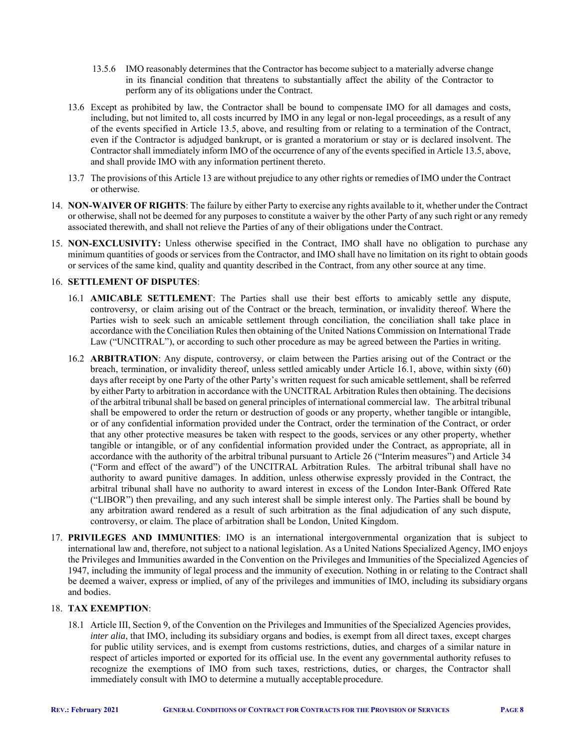- 13.5.6 IMO reasonably determines that the Contractor has become subject to a materially adverse change in its financial condition that threatens to substantially affect the ability of the Contractor to perform any of its obligations under the Contract.
- 13.6 Except as prohibited by law, the Contractor shall be bound to compensate IMO for all damages and costs, including, but not limited to, all costs incurred by IMO in any legal or non-legal proceedings, as a result of any of the events specified in Article 13.5, above, and resulting from or relating to a termination of the Contract, even if the Contractor is adjudged bankrupt, or is granted a moratorium or stay or is declared insolvent. The Contractor shall immediately inform IMO of the occurrence of any of the events specified in Article 13.5, above, and shall provide IMO with any information pertinent thereto.
- 13.7 The provisions of this Article 13 are without prejudice to any other rights or remedies of IMO under the Contract or otherwise.
- 14. **NON-WAIVER OF RIGHTS**: The failure by either Party to exercise any rights available to it, whether under the Contract or otherwise, shall not be deemed for any purposes to constitute a waiver by the other Party of any such right or any remedy associated therewith, and shall not relieve the Parties of any of their obligations under the Contract.
- 15. **NON-EXCLUSIVITY:** Unless otherwise specified in the Contract, IMO shall have no obligation to purchase any minimum quantities of goods or services from the Contractor, and IMO shall have no limitation on its right to obtain goods or services of the same kind, quality and quantity described in the Contract, from any other source at any time.

#### 16. **SETTLEMENT OF DISPUTES**:

- 16.1 **AMICABLE SETTLEMENT**: The Parties shall use their best efforts to amicably settle any dispute, controversy, or claim arising out of the Contract or the breach, termination, or invalidity thereof. Where the Parties wish to seek such an amicable settlement through conciliation, the conciliation shall take place in accordance with the Conciliation Rules then obtaining of the United Nations Commission on International Trade Law ("UNCITRAL"), or according to such other procedure as may be agreed between the Parties in writing.
- 16.2 **ARBITRATION**: Any dispute, controversy, or claim between the Parties arising out of the Contract or the breach, termination, or invalidity thereof, unless settled amicably under Article 16.1, above, within sixty (60) days after receipt by one Party of the other Party's written request for such amicable settlement, shall be referred by either Party to arbitration in accordance with the UNCITRAL Arbitration Rules then obtaining. The decisions of the arbitral tribunal shall be based on general principles of international commercial law. The arbitral tribunal shall be empowered to order the return or destruction of goods or any property, whether tangible or intangible, or of any confidential information provided under the Contract, order the termination of the Contract, or order that any other protective measures be taken with respect to the goods, services or any other property, whether tangible or intangible, or of any confidential information provided under the Contract, as appropriate, all in accordance with the authority of the arbitral tribunal pursuant to Article 26 ("Interim measures") and Article 34 ("Form and effect of the award") of the UNCITRAL Arbitration Rules. The arbitral tribunal shall have no authority to award punitive damages. In addition, unless otherwise expressly provided in the Contract, the arbitral tribunal shall have no authority to award interest in excess of the London Inter-Bank Offered Rate ("LIBOR") then prevailing, and any such interest shall be simple interest only. The Parties shall be bound by any arbitration award rendered as a result of such arbitration as the final adjudication of any such dispute, controversy, or claim. The place of arbitration shall be London, United Kingdom.
- 17. **PRIVILEGES AND IMMUNITIES**: IMO is an international intergovernmental organization that is subject to international law and, therefore, not subject to a national legislation. As a United Nations Specialized Agency, IMO enjoys the Privileges and Immunities awarded in the Convention on the Privileges and Immunities of the Specialized Agencies of 1947, including the immunity of legal process and the immunity of execution. Nothing in or relating to the Contract shall be deemed a waiver, express or implied, of any of the privileges and immunities of IMO, including its subsidiary organs and bodies.

#### 18. **TAX EXEMPTION**:

18.1 Article III, Section 9, of the Convention on the Privileges and Immunities of the Specialized Agencies provides, *inter alia*, that IMO, including its subsidiary organs and bodies, is exempt from all direct taxes, except charges for public utility services, and is exempt from customs restrictions, duties, and charges of a similar nature in respect of articles imported or exported for its official use. In the event any governmental authority refuses to recognize the exemptions of IMO from such taxes, restrictions, duties, or charges, the Contractor shall immediately consult with IMO to determine a mutually acceptable procedure.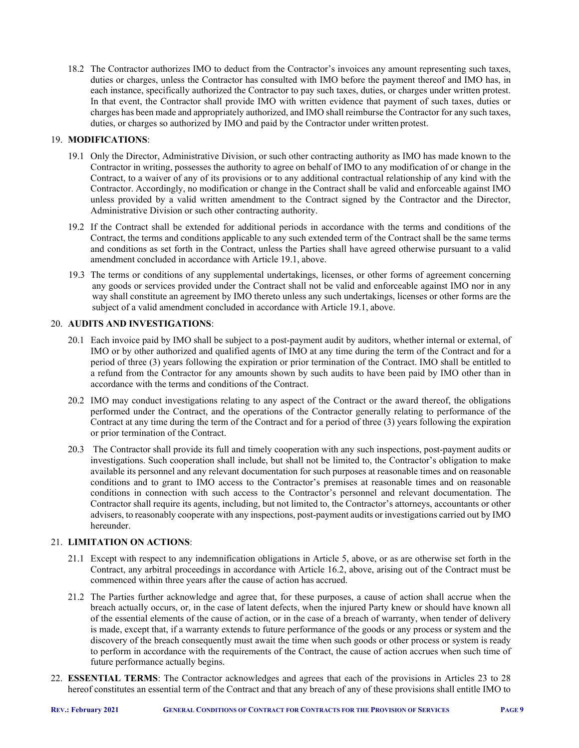18.2 The Contractor authorizes IMO to deduct from the Contractor's invoices any amount representing such taxes, duties or charges, unless the Contractor has consulted with IMO before the payment thereof and IMO has, in each instance, specifically authorized the Contractor to pay such taxes, duties, or charges under written protest. In that event, the Contractor shall provide IMO with written evidence that payment of such taxes, duties or charges has been made and appropriately authorized, and IMO shall reimburse the Contractor for any such taxes, duties, or charges so authorized by IMO and paid by the Contractor under written protest.

## 19. **MODIFICATIONS**:

- 19.1 Only the Director, Administrative Division, or such other contracting authority as IMO has made known to the Contractor in writing, possesses the authority to agree on behalf of IMO to any modification of or change in the Contract, to a waiver of any of its provisions or to any additional contractual relationship of any kind with the Contractor. Accordingly, no modification or change in the Contract shall be valid and enforceable against IMO unless provided by a valid written amendment to the Contract signed by the Contractor and the Director, Administrative Division or such other contracting authority.
- 19.2 If the Contract shall be extended for additional periods in accordance with the terms and conditions of the Contract, the terms and conditions applicable to any such extended term of the Contract shall be the same terms and conditions as set forth in the Contract, unless the Parties shall have agreed otherwise pursuant to a valid amendment concluded in accordance with Article 19.1, above.
- 19.3 The terms or conditions of any supplemental undertakings, licenses, or other forms of agreement concerning any goods or services provided under the Contract shall not be valid and enforceable against IMO nor in any way shall constitute an agreement by IMO thereto unless any such undertakings, licenses or other forms are the subject of a valid amendment concluded in accordance with Article 19.1, above.

#### 20. **AUDITS AND INVESTIGATIONS**:

- 20.1 Each invoice paid by IMO shall be subject to a post-payment audit by auditors, whether internal or external, of IMO or by other authorized and qualified agents of IMO at any time during the term of the Contract and for a period of three (3) years following the expiration or prior termination of the Contract. IMO shall be entitled to a refund from the Contractor for any amounts shown by such audits to have been paid by IMO other than in accordance with the terms and conditions of the Contract.
- 20.2 IMO may conduct investigations relating to any aspect of the Contract or the award thereof, the obligations performed under the Contract, and the operations of the Contractor generally relating to performance of the Contract at any time during the term of the Contract and for a period of three (3) years following the expiration or prior termination of the Contract.
- 20.3 The Contractor shall provide its full and timely cooperation with any such inspections, post-payment audits or investigations. Such cooperation shall include, but shall not be limited to, the Contractor's obligation to make available its personnel and any relevant documentation for such purposes at reasonable times and on reasonable conditions and to grant to IMO access to the Contractor's premises at reasonable times and on reasonable conditions in connection with such access to the Contractor's personnel and relevant documentation. The Contractor shall require its agents, including, but not limited to, the Contractor's attorneys, accountants or other advisers, to reasonably cooperate with any inspections, post-payment audits or investigations carried out by IMO hereunder.

## 21. **LIMITATION ON ACTIONS**:

- 21.1 Except with respect to any indemnification obligations in Article 5, above, or as are otherwise set forth in the Contract, any arbitral proceedings in accordance with Article 16.2, above, arising out of the Contract must be commenced within three years after the cause of action has accrued.
- 21.2 The Parties further acknowledge and agree that, for these purposes, a cause of action shall accrue when the breach actually occurs, or, in the case of latent defects, when the injured Party knew or should have known all of the essential elements of the cause of action, or in the case of a breach of warranty, when tender of delivery is made, except that, if a warranty extends to future performance of the goods or any process or system and the discovery of the breach consequently must await the time when such goods or other process or system is ready to perform in accordance with the requirements of the Contract, the cause of action accrues when such time of future performance actually begins.
- 22. **ESSENTIAL TERMS**: The Contractor acknowledges and agrees that each of the provisions in Articles 23 to 28 hereof constitutes an essential term of the Contract and that any breach of any of these provisions shall entitle IMO to